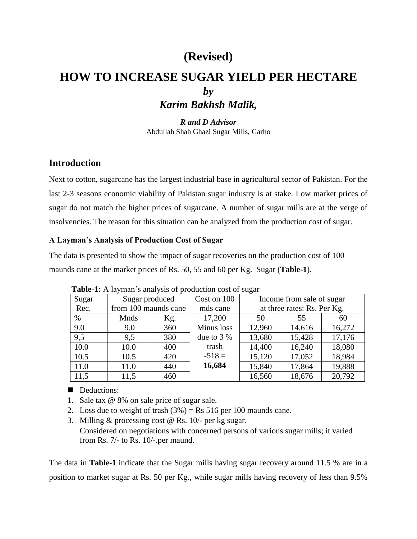# **(Revised)**

# **HOW TO INCREASE SUGAR YIELD PER HECTARE** *by Karim Bakhsh Malik,*

*R and D Advisor* Abdullah Shah Ghazi Sugar Mills, Garho

## **Introduction**

Next to cotton, sugarcane has the largest industrial base in agricultural sector of Pakistan. For the last 2-3 seasons economic viability of Pakistan sugar industry is at stake. Low market prices of sugar do not match the higher prices of sugarcane. A number of sugar mills are at the verge of insolvencies. The reason for this situation can be analyzed from the production cost of sugar.

### **A Layman's Analysis of Production Cost of Sugar**

The data is presented to show the impact of sugar recoveries on the production cost of 100 maunds cane at the market prices of Rs. 50, 55 and 60 per Kg. Sugar (**Table-1**).

| Sugar | Sugar produced       |     | Cost on 100 | Income from sale of sugar   |        |        |
|-------|----------------------|-----|-------------|-----------------------------|--------|--------|
| Rec.  | from 100 maunds cane |     | mds cane    | at three rates: Rs. Per Kg. |        |        |
| $\%$  | Mnds                 | Kg. | 17,200      | 50                          | 55     | 60     |
| 9.0   | 9.0                  | 360 | Minus loss  | 12,960                      | 14,616 | 16,272 |
| 9,5   | 9,5                  | 380 | due to $3%$ | 13,680                      | 15,428 | 17,176 |
| 10.0  | 10.0                 | 400 | trash       | 14,400                      | 16,240 | 18,080 |
| 10.5  | 10.5                 | 420 | $-518=$     | 15,120                      | 17,052 | 18,984 |
| 11.0  | 11.0                 | 440 | 16,684      | 15,840                      | 17,864 | 19,888 |
| 11,5  | 11,5                 | 460 |             | 16,560                      | 18,676 | 20,792 |

 **Table-1:** A layman's analysis of production cost of sugar

## Deductions:

- 1. Sale tax @ 8% on sale price of sugar sale.
- 2. Loss due to weight of trash  $(3%) = \text{Rs } 516$  per 100 maunds cane.
- 3. Milling & processing cost @ Rs. 10/- per kg sugar. Considered on negotiations with concerned persons of various sugar mills; it varied from Rs. 7/- to Rs. 10/-.per maund.

The data in **Table-1** indicate that the Sugar mills having sugar recovery around 11.5 % are in a position to market sugar at Rs. 50 per Kg., while sugar mills having recovery of less than 9.5%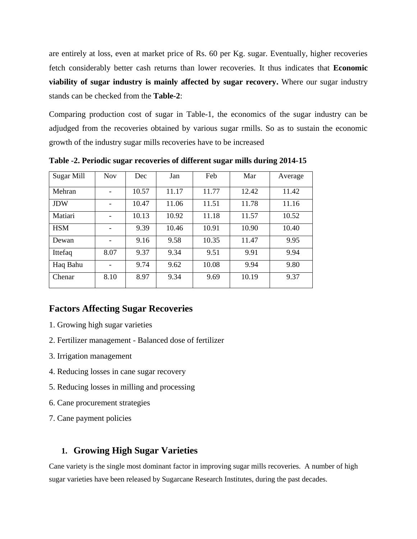are entirely at loss, even at market price of Rs. 60 per Kg. sugar. Eventually, higher recoveries fetch considerably better cash returns than lower recoveries. It thus indicates that **Economic viability of sugar industry is mainly affected by sugar recovery.** Where our sugar industry stands can be checked from the **Table-2**:

Comparing production cost of sugar in Table-1, the economics of the sugar industry can be adjudged from the recoveries obtained by various sugar rmills. So as to sustain the economic growth of the industry sugar mills recoveries have to be increased

| Sugar Mill | <b>Nov</b> | Dec   | Jan   | Feb   | Mar   | Average |
|------------|------------|-------|-------|-------|-------|---------|
| Mehran     |            | 10.57 | 11.17 | 11.77 | 12.42 | 11.42   |
| <b>JDW</b> |            | 10.47 | 11.06 | 11.51 | 11.78 | 11.16   |
| Matiari    |            | 10.13 | 10.92 | 11.18 | 11.57 | 10.52   |
| <b>HSM</b> |            | 9.39  | 10.46 | 10.91 | 10.90 | 10.40   |
| Dewan      |            | 9.16  | 9.58  | 10.35 | 11.47 | 9.95    |
| Ittefaq    | 8.07       | 9.37  | 9.34  | 9.51  | 9.91  | 9.94    |
| Haq Bahu   |            | 9.74  | 9.62  | 10.08 | 9.94  | 9.80    |
| Chenar     | 8.10       | 8.97  | 9.34  | 9.69  | 10.19 | 9.37    |

**Table -2. Periodic sugar recoveries of different sugar mills during 2014-15**

## **Factors Affecting Sugar Recoveries**

- 1. Growing high sugar varieties
- 2. Fertilizer management Balanced dose of fertilizer
- 3. Irrigation management
- 4. Reducing losses in cane sugar recovery
- 5. Reducing losses in milling and processing
- 6. Cane procurement strategies
- 7. Cane payment policies

## **1. Growing High Sugar Varieties**

Cane variety is the single most dominant factor in improving sugar mills recoveries. A number of high sugar varieties have been released by Sugarcane Research Institutes, during the past decades.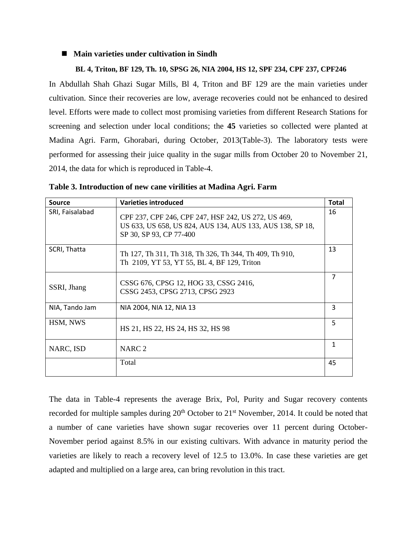#### ■ Main varieties under cultivation in Sindh

#### **BL 4, Triton, BF 129, Th. 10, SPSG 26, NIA 2004, HS 12, SPF 234, CPF 237, CPF246**

In Abdullah Shah Ghazi Sugar Mills, Bl 4, Triton and BF 129 are the main varieties under cultivation. Since their recoveries are low, average recoveries could not be enhanced to desired level. Efforts were made to collect most promising varieties from different Research Stations for screening and selection under local conditions; the **45** varieties so collected were planted at Madina Agri. Farm, Ghorabari, during October, 2013(Table-3). The laboratory tests were performed for assessing their juice quality in the sugar mills from October 20 to November 21, 2014, the data for which is reproduced in Table-4.

|  |  |  | Table 3. Introduction of new cane virilities at Madina Agri. Farm |  |  |
|--|--|--|-------------------------------------------------------------------|--|--|
|  |  |  |                                                                   |  |  |

| Source          | <b>Varieties introduced</b>                                                                                                                 | <b>Total</b> |
|-----------------|---------------------------------------------------------------------------------------------------------------------------------------------|--------------|
| SRI, Faisalabad | CPF 237, CPF 246, CPF 247, HSF 242, US 272, US 469,<br>US 633, US 658, US 824, AUS 134, AUS 133, AUS 138, SP 18,<br>SP 30, SP 93, CP 77-400 | 16           |
| SCRI, Thatta    | Th 127, Th 311, Th 318, Th 326, Th 344, Th 409, Th 910,<br>Th 2109, YT 53, YT 55, BL 4, BF 129, Triton                                      | 13           |
| SSRI, Jhang     | CSSG 676, CPSG 12, HOG 33, CSSG 2416,<br>CSSG 2453, CPSG 2713, CPSG 2923                                                                    | 7            |
| NIA, Tando Jam  | NIA 2004, NIA 12, NIA 13                                                                                                                    | 3            |
| HSM, NWS        | HS 21, HS 22, HS 24, HS 32, HS 98                                                                                                           | 5            |
| NARC, ISD       | NARC <sub>2</sub>                                                                                                                           | 1            |
|                 | Total                                                                                                                                       | 45           |

The data in Table-4 represents the average Brix, Pol, Purity and Sugar recovery contents recorded for multiple samples during 20<sup>th</sup> October to 21<sup>st</sup> November, 2014. It could be noted that a number of cane varieties have shown sugar recoveries over 11 percent during October-November period against 8.5% in our existing cultivars. With advance in maturity period the varieties are likely to reach a recovery level of 12.5 to 13.0%. In case these varieties are get adapted and multiplied on a large area, can bring revolution in this tract.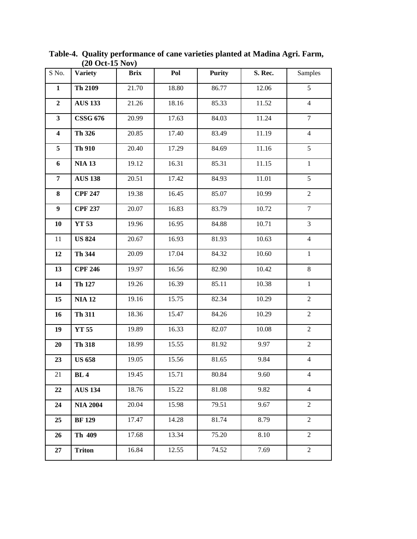|                         | $(20 \text{ UCL-13 } \text{NUV})$ |             |       |               |         |                |  |  |  |
|-------------------------|-----------------------------------|-------------|-------|---------------|---------|----------------|--|--|--|
| S No.                   | <b>Variety</b>                    | <b>Brix</b> | Pol   | <b>Purity</b> | S. Rec. | Samples        |  |  |  |
| $\mathbf{1}$            | Th 2109                           | 21.70       | 18.80 | 86.77         | 12.06   | $\overline{5}$ |  |  |  |
| $\boldsymbol{2}$        | <b>AUS 133</b>                    | 21.26       | 18.16 | 85.33         | 11.52   | $\overline{4}$ |  |  |  |
| $\mathbf{3}$            | <b>CSSG 676</b>                   | 20.99       | 17.63 | 84.03         | 11.24   | $\tau$         |  |  |  |
| $\overline{\mathbf{4}}$ | Th 326                            | 20.85       | 17.40 | 83.49         | 11.19   | $\overline{4}$ |  |  |  |
| 5                       | Th 910                            | 20.40       | 17.29 | 84.69         | 11.16   | $\overline{5}$ |  |  |  |
| 6                       | <b>NIA 13</b>                     | 19.12       | 16.31 | 85.31         | 11.15   | $\,1\,$        |  |  |  |
| 7                       | <b>AUS 138</b>                    | 20.51       | 17.42 | 84.93         | 11.01   | 5              |  |  |  |
| 8                       | <b>CPF 247</b>                    | 19.38       | 16.45 | 85.07         | 10.99   | $\overline{2}$ |  |  |  |
| $\boldsymbol{9}$        | <b>CPF 237</b>                    | 20.07       | 16.83 | 83.79         | 10.72   | $\overline{7}$ |  |  |  |
| 10                      | YT 53                             | 19.96       | 16.95 | 84.88         | 10.71   | 3              |  |  |  |
| 11                      | <b>US 824</b>                     | 20.67       | 16.93 | 81.93         | 10.63   | $\overline{4}$ |  |  |  |
| 12                      | Th 344                            | 20.09       | 17.04 | 84.32         | 10.60   | $\mathbf{1}$   |  |  |  |
| 13                      | <b>CPF 246</b>                    | 19.97       | 16.56 | 82.90         | 10.42   | $8\,$          |  |  |  |
| 14                      | Th 127                            | 19.26       | 16.39 | 85.11         | 10.38   | $\mathbf{1}$   |  |  |  |
| 15                      | <b>NIA 12</b>                     | 19.16       | 15.75 | 82.34         | 10.29   | $\overline{2}$ |  |  |  |
| 16                      | Th 311                            | 18.36       | 15.47 | 84.26         | 10.29   | $\overline{2}$ |  |  |  |
| 19                      | <b>YT 55</b>                      | 19.89       | 16.33 | 82.07         | 10.08   | $\overline{2}$ |  |  |  |
| 20                      | Th 318                            | 18.99       | 15.55 | 81.92         | 9.97    | $\overline{2}$ |  |  |  |
| 23                      | <b>US 658</b>                     | 19.05       | 15.56 | 81.65         | 9.84    | $\overline{4}$ |  |  |  |
| 21                      | <b>BL</b> 4                       | 19.45       | 15.71 | 80.84         | 9.60    | $\overline{4}$ |  |  |  |
| 22                      | <b>AUS 134</b>                    | 18.76       | 15.22 | 81.08         | 9.82    | $\overline{4}$ |  |  |  |
| 24                      | <b>NIA 2004</b>                   | 20.04       | 15.98 | 79.51         | 9.67    | $\overline{2}$ |  |  |  |
| 25                      | <b>BF</b> 129                     | 17.47       | 14.28 | 81.74         | 8.79    | $\overline{2}$ |  |  |  |
| 26                      | Th 409                            | 17.68       | 13.34 | 75.20         | 8.10    | $\overline{2}$ |  |  |  |
| 27                      | <b>Triton</b>                     | 16.84       | 12.55 | 74.52         | 7.69    | 2              |  |  |  |

**Table-4. Quality performance of cane varieties planted at Madina Agri. Farm, (20 Oct-15 Nov)**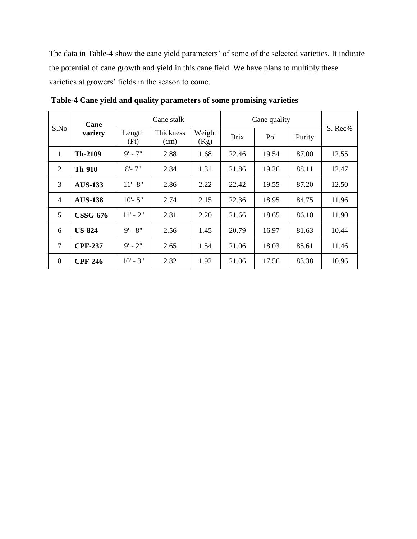The data in Table-4 show the cane yield parameters' of some of the selected varieties. It indicate the potential of cane growth and yield in this cane field. We have plans to multiply these varieties at growers' fields in the season to come.

| Cane<br>S.No<br>variety | Cane stalk      |                          | Cane quality   |             |       |        |         |       |
|-------------------------|-----------------|--------------------------|----------------|-------------|-------|--------|---------|-------|
|                         | Length<br>(Ft)  | <b>Thickness</b><br>(cm) | Weight<br>(Kg) | <b>Brix</b> | Pol   | Purity | S. Rec% |       |
| 1                       | Th-2109         | $9' - 7''$               | 2.88           | 1.68        | 22.46 | 19.54  | 87.00   | 12.55 |
| 2                       | <b>Th-910</b>   | $8 - 7"$                 | 2.84           | 1.31        | 21.86 | 19.26  | 88.11   | 12.47 |
| 3                       | <b>AUS-133</b>  | $11 - 8"$                | 2.86           | 2.22        | 22.42 | 19.55  | 87.20   | 12.50 |
| $\overline{4}$          | <b>AUS-138</b>  | $10' - 5"$               | 2.74           | 2.15        | 22.36 | 18.95  | 84.75   | 11.96 |
| 5                       | <b>CSSG-676</b> | $11' - 2"$               | 2.81           | 2.20        | 21.66 | 18.65  | 86.10   | 11.90 |
| 6                       | <b>US-824</b>   | $9' - 8''$               | 2.56           | 1.45        | 20.79 | 16.97  | 81.63   | 10.44 |
| 7                       | <b>CPF-237</b>  | $9' - 2''$               | 2.65           | 1.54        | 21.06 | 18.03  | 85.61   | 11.46 |
| 8                       | <b>CPF-246</b>  | $10' - 3''$              | 2.82           | 1.92        | 21.06 | 17.56  | 83.38   | 10.96 |

**Table-4 Cane yield and quality parameters of some promising varieties**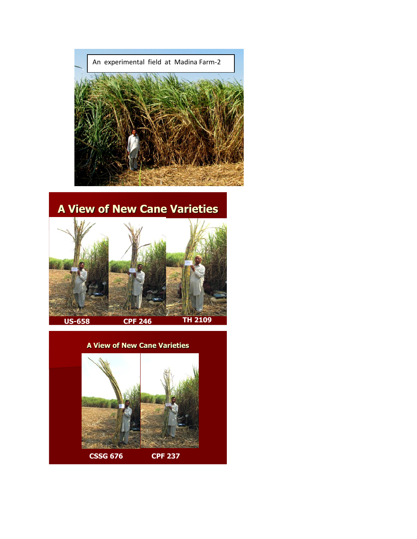

# **A View of New Cane Varieties**



## **A View of New Cane Varieties**

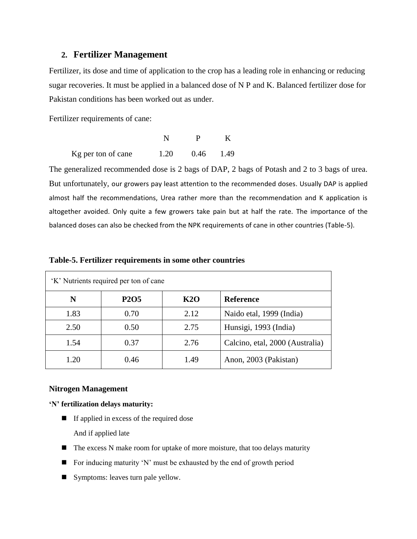### **2. Fertilizer Management**

Fertilizer, its dose and time of application to the crop has a leading role in enhancing or reducing sugar recoveries. It must be applied in a balanced dose of N P and K. Balanced fertilizer dose for Pakistan conditions has been worked out as under.

Fertilizer requirements of cane:

| Kg per ton of cane | 1.20 | 0.46 1.49 |  |
|--------------------|------|-----------|--|

The generalized recommended dose is 2 bags of DAP, 2 bags of Potash and 2 to 3 bags of urea. But unfortunately, our growers pay least attention to the recommended doses. Usually DAP is applied almost half the recommendations, Urea rather more than the recommendation and K application is altogether avoided. Only quite a few growers take pain but at half the rate. The importance of the balanced doses can also be checked from the NPK requirements of cane in other countries (Table-5).

| 'K' Nutrients required per ton of cane |             |            |                                 |  |  |  |
|----------------------------------------|-------------|------------|---------------------------------|--|--|--|
| N                                      | <b>P2O5</b> | <b>K2O</b> | <b>Reference</b>                |  |  |  |
| 1.83                                   | 0.70        | 2.12       | Naido etal, 1999 (India)        |  |  |  |
| 2.50                                   | 0.50        | 2.75       | Hunsigi, 1993 (India)           |  |  |  |
| 1.54                                   | 0.37        | 2.76       | Calcino, etal, 2000 (Australia) |  |  |  |
| 1.20                                   | 0.46        | 1.49       | Anon, 2003 (Pakistan)           |  |  |  |

#### **Table-5. Fertilizer requirements in some other countries**

#### **Nitrogen Management**

**'N' fertilization delays maturity:**

- If applied in excess of the required dose And if applied late
- $\blacksquare$  The excess N make room for uptake of more moisture, that too delays maturity
- For inducing maturity 'N' must be exhausted by the end of growth period
- Symptoms: leaves turn pale yellow.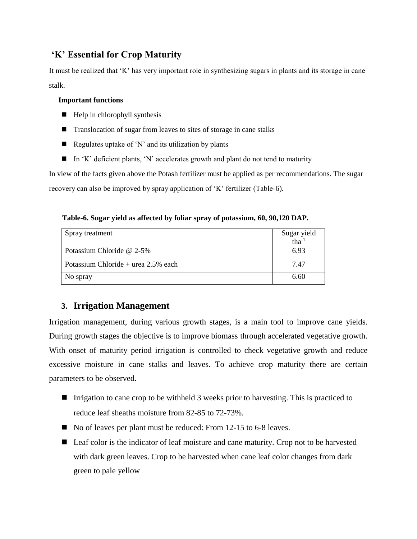## **'K' Essential for Crop Maturity**

It must be realized that 'K' has very important role in synthesizing sugars in plants and its storage in cane stalk.

#### **Important functions**

- $\blacksquare$  Help in chlorophyll synthesis
- **Translocation of sugar from leaves to sites of storage in cane stalks**
- Regulates uptake of 'N' and its utilization by plants
- In 'K' deficient plants, 'N' accelerates growth and plant do not tend to maturity

In view of the facts given above the Potash fertilizer must be applied as per recommendations. The sugar recovery can also be improved by spray application of 'K' fertilizer (Table-6).

### **Table-6. Sugar yield as affected by foliar spray of potassium, 60, 90,120 DAP.**

| Spray treatment                        | Sugar yield<br>tha $^{-1}$ |
|----------------------------------------|----------------------------|
| Potassium Chloride @ 2-5%              | 6.93                       |
| Potassium Chloride + urea $2.5\%$ each | 7.47                       |
| No spray                               | 6.60                       |

## **3. Irrigation Management**

Irrigation management, during various growth stages, is a main tool to improve cane yields. During growth stages the objective is to improve biomass through accelerated vegetative growth. With onset of maturity period irrigation is controlled to check vegetative growth and reduce excessive moisture in cane stalks and leaves. To achieve crop maturity there are certain parameters to be observed.

- Irrigation to cane crop to be withheld 3 weeks prior to harvesting. This is practiced to reduce leaf sheaths moisture from 82-85 to 72-73%.
- No of leaves per plant must be reduced: From 12-15 to 6-8 leaves.
- Leaf color is the indicator of leaf moisture and cane maturity. Crop not to be harvested with dark green leaves. Crop to be harvested when cane leaf color changes from dark green to pale yellow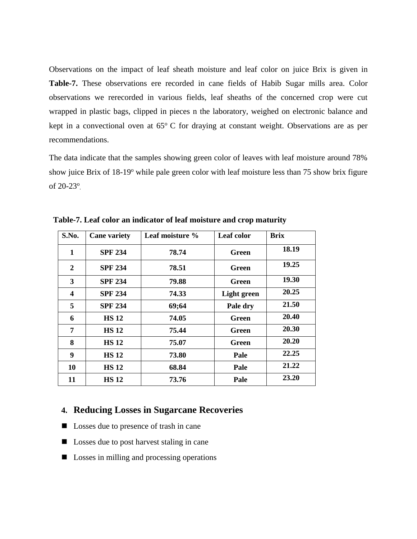Observations on the impact of leaf sheath moisture and leaf color on juice Brix is given in **Table-7.** These observations ere recorded in cane fields of Habib Sugar mills area. Color observations we rerecorded in various fields, leaf sheaths of the concerned crop were cut wrapped in plastic bags, clipped in pieces n the laboratory, weighed on electronic balance and kept in a convectional oven at  $65^{\circ}$  C for draying at constant weight. Observations are as per recommendations.

The data indicate that the samples showing green color of leaves with leaf moisture around 78% show juice Brix of 18-19<sup>o</sup> while pale green color with leaf moisture less than 75 show brix figure of 20-23<sup>o</sup>.

| S.No. | <b>Cane variety</b> | Leaf moisture % | Leaf color         | <b>Brix</b> |
|-------|---------------------|-----------------|--------------------|-------------|
| 1     | <b>SPF 234</b>      | 78.74           | Green              | 18.19       |
| 2     | <b>SPF 234</b>      | 78.51           | Green              | 19.25       |
| 3     | <b>SPF 234</b>      | 79.88           | Green              | 19.30       |
| 4     | <b>SPF 234</b>      | 74.33           | <b>Light</b> green | 20.25       |
| 5     | <b>SPF 234</b>      | 69;64           | Pale dry           | 21.50       |
| 6     | <b>HS 12</b>        | 74.05           | Green              | 20.40       |
| 7     | <b>HS 12</b>        | 75.44           | Green              | 20.30       |
| 8     | <b>HS 12</b>        | 75.07           | Green              | 20.20       |
| 9     | <b>HS12</b>         | 73.80           | Pale               | 22.25       |
| 10    | <b>HS12</b>         | 68.84           | Pale               | 21.22       |
| 11    | <b>HS 12</b>        | 73.76           | Pale               | 23.20       |

 **Table-7. Leaf color an indicator of leaf moisture and crop maturity**

## **4. Reducing Losses in Sugarcane Recoveries**

- **Losses due to presence of trash in cane**
- Losses due to post harvest staling in cane
- Losses in milling and processing operations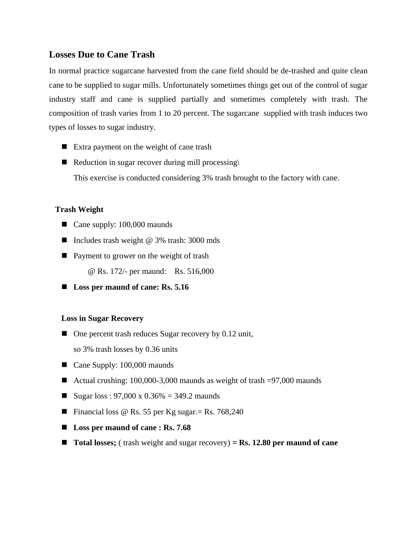## **Losses Due to Cane Trash**

In normal practice sugarcane harvested from the cane field should be de-trashed and quite clean cane to be supplied to sugar mills. Unfortunately sometimes things get out of the control of sugar industry staff and cane is supplied partially and sometimes completely with trash. The composition of trash varies from 1 to 20 percent. The sugarcane supplied with trash induces two types of losses to sugar industry.

- Extra payment on the weight of cane trash
- Reduction in sugar recover during mill processing $\langle$ This exercise is conducted considering 3% trash brought to the factory with cane.

### **Trash Weight**

- Cane supply: 100,000 maunds
- Includes trash weight  $@$  3% trash: 3000 mds
- Payment to grower on the weight of trash

@ Rs. 172/- per maund: Rs. 516,000

■ Loss per maund of cane: Rs. 5.16

### **Loss in Sugar Recovery**

- $\blacksquare$  One percent trash reduces Sugar recovery by 0.12 unit,
	- so 3% trash losses by 0.36 units
- Cane Supply: 100,000 maunds
- Actual crushing: 100,000-3,000 maunds as weight of trash =97,000 maunds
- Sugar loss :  $97,000 \times 0.36\% = 349.2$  maunds
- **Financial loss @ Rs. 55 per Kg sugar.** = Rs. 768,240
- Loss per maund of cane : Rs. 7.68
- **Total losses;** (trash weight and sugar recovery) = **Rs. 12.80 per maund of cane**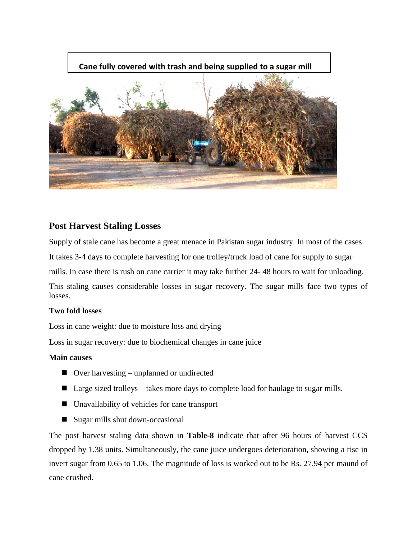

## **Post Harvest Staling Losses**

Supply of stale cane has become a great menace in Pakistan sugar industry. In most of the cases It takes 3-4 days to complete harvesting for one trolley/truck load of cane for supply to sugar mills. In case there is rush on cane carrier it may take further 24- 48 hours to wait for unloading. This staling causes considerable losses in sugar recovery. The sugar mills face two types of losses.

## **Two fold losses**

Loss in cane weight: due to moisture loss and drying

Loss in sugar recovery: due to biochemical changes in cane juice

### **Main causes**

- Over harvesting unplanned or undirected
- Large sized trolleys takes more days to complete load for haulage to sugar mills.
- Unavailability of vehicles for cane transport
- Sugar mills shut down-occasional

The post harvest staling data shown in **Table-8** indicate that after 96 hours of harvest CCS dropped by 1.38 units. Simultaneously, the cane juice undergoes deterioration, showing a rise in invert sugar from 0.65 to 1.06. The magnitude of loss is worked out to be Rs. 27.94 per maund of cane crushed.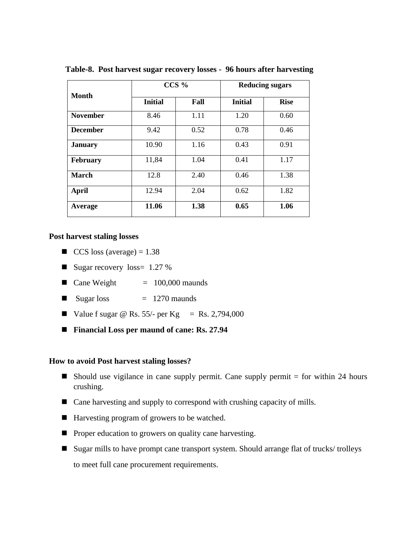|                 |                | $CCS\%$ |                | <b>Reducing sugars</b> |
|-----------------|----------------|---------|----------------|------------------------|
| <b>Month</b>    | <b>Initial</b> | Fall    | <b>Initial</b> | <b>Rise</b>            |
| <b>November</b> | 8.46           | 1.11    | 1.20           | 0.60                   |
| <b>December</b> | 9.42           | 0.52    | 0.78           | 0.46                   |
| <b>January</b>  | 10.90          | 1.16    | 0.43           | 0.91                   |
| <b>February</b> | 11,84          | 1.04    | 0.41           | 1.17                   |
| <b>March</b>    | 12.8           | 2.40    | 0.46           | 1.38                   |
| <b>April</b>    | 12.94          | 2.04    | 0.62           | 1.82                   |
| Average         | 11.06          | 1.38    | 0.65           | 1.06                   |

 **Table-8. Post harvest sugar recovery losses - 96 hours after harvesting** 

#### **Post harvest staling losses**

- $\Box$  CCS loss (average) = 1.38
- Sugar recovery  $loss = 1.27 \%$
- $\blacksquare$  Cane Weight  $= 100,000$  maunds
- Sugar loss  $= 1270$  maunds
- Value f sugar  $\textcircled{e}$  Rs. 55/- per Kg = Rs. 2,794,000
- Financial Loss per maund of cane: Rs. 27.94

#### **How to avoid Post harvest staling losses?**

- Should use vigilance in cane supply permit. Cane supply permit  $=$  for within 24 hours crushing.
- Cane harvesting and supply to correspond with crushing capacity of mills.
- Harvesting program of growers to be watched.
- **Proper education to growers on quality cane harvesting.**
- Sugar mills to have prompt cane transport system. Should arrange flat of trucks/ trolleys to meet full cane procurement requirements.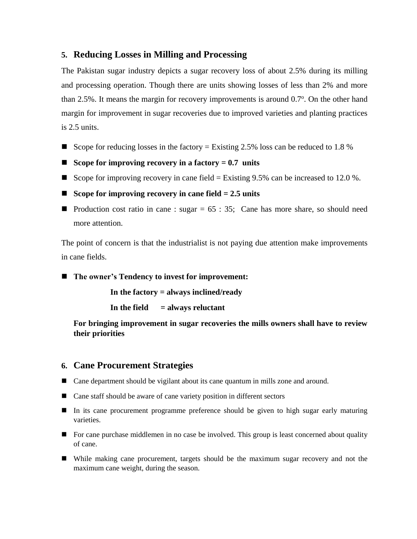## **5. Reducing Losses in Milling and Processing**

The Pakistan sugar industry depicts a sugar recovery loss of about 2.5% during its milling and processing operation. Though there are units showing losses of less than 2% and more than 2.5%. It means the margin for recovery improvements is around 0.7°. On the other hand margin for improvement in sugar recoveries due to improved varieties and planting practices is 2.5 units.

- Scope for reducing losses in the factory = Existing 2.5% loss can be reduced to 1.8 %
- **Scope for improving recovery in a factory = 0.7 units**
- Scope for improving recovery in cane field  $=$  Existing 9.5% can be increased to 12.0 %.
- **Scope for improving recovery in cane field = 2.5 units**
- **Production cost ratio in cane : sugar = 65 : 35; Cane has more share, so should need** more attention.

The point of concern is that the industrialist is not paying due attention make improvements in cane fields.

■ The owner's Tendency to invest for improvement:

 **In the factory = always inclined/ready**

 **In the field = always reluctant**

**For bringing improvement in sugar recoveries the mills owners shall have to review their priorities**

## **6. Cane Procurement Strategies**

- Cane department should be vigilant about its cane quantum in mills zone and around.
- Cane staff should be aware of cane variety position in different sectors
- In its cane procurement programme preference should be given to high sugar early maturing varieties.
- **For cane purchase middlemen in no case be involved. This group is least concerned about quality** of cane.
- While making cane procurement, targets should be the maximum sugar recovery and not the maximum cane weight, during the season.